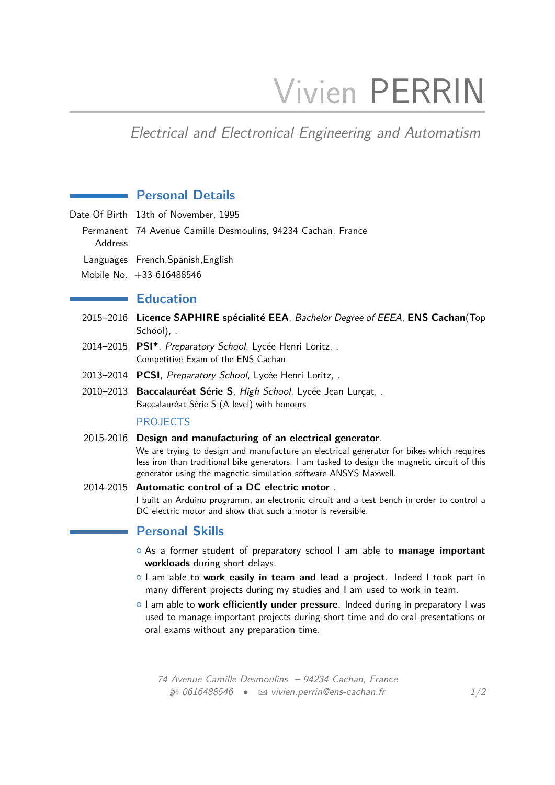# Vivien PERRIN

# Electrical and Electronical Engineering and Automatism

# **Personal Details**

- Date Of Birth 13th of November, 1995
	- Permanent 74 Avenue Camille Desmoulins, 94234 Cachan, France
		- Address
	- Languages French,Spanish,English
	- Mobile No. +33 616488546

#### **Education**

- 2015–2016 **Licence SAPHIRE spécialité EEA**, Bachelor Degree of EEEA, **ENS Cachan**(Top School), .
- 2014–2015 **PSI\***, Preparatory School, Lycée Henri Loritz, . Competitive Exam of the ENS Cachan
- 2013–2014 **PCSI**, Preparatory School, Lycée Henri Loritz, .
- 2010–2013 **Baccalauréat Série S**, High School, Lycée Jean Lurçat, . Baccalauréat Série S (A level) with honours

#### PROJECTS

2015-2016 **Design and manufacturing of an electrical generator**.

We are trying to design and manufacture an electrical generator for bikes which requires less iron than traditional bike generators. I am tasked to design the magnetic circuit of this generator using the magnetic simulation software ANSYS Maxwell.

#### 2014-2015 **Automatic control of a DC electric motor** .

I built an Arduino programm, an electronic circuit and a test bench in order to control a DC electric motor and show that such a motor is reversible.

#### **Personal Skills**

- { As a former student of preparatory school I am able to **manage important workloads** during short delays.
- { I am able to **work easily in team and lead a project**. Indeed I took part in many different projects during my studies and I am used to work in team.
- { I am able to **work efficiently under pressure**. Indeed during in preparatory I was used to manage important projects during short time and do oral presentations or oral exams without any preparation time.

74 Avenue Camille Desmoulins – 94234 Cachan, France  $\otimes$  0616488546 •  $\otimes$  [vivien.perrin@ens-cachan.fr](mailto:vivien.perrin@ens-cachan.fr) 1[/2](#page-1-0)